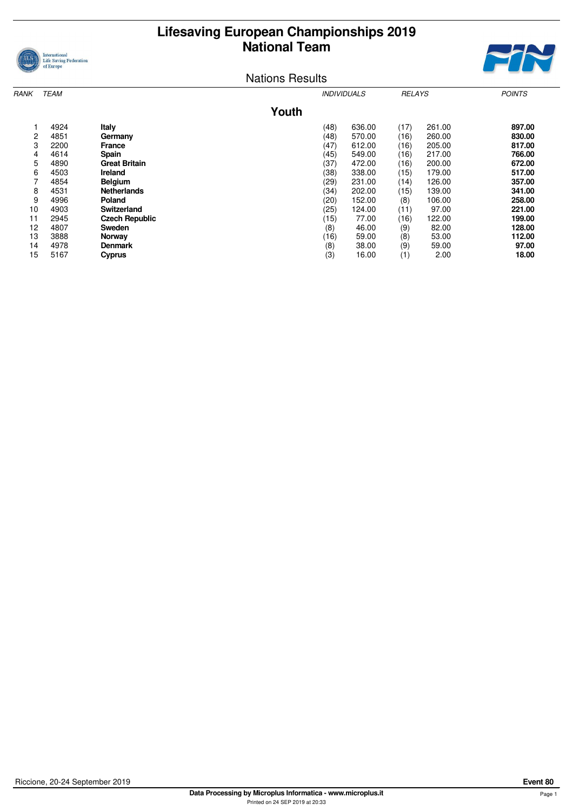## **Lifesaving European Championships 2019 National Team**





Nations Results

| RANK | <b>TEAM</b> |                       |       | <i><b>INDIVIDUALS</b></i> |        | <b>RELAYS</b> |        | <b>POINTS</b> |
|------|-------------|-----------------------|-------|---------------------------|--------|---------------|--------|---------------|
|      |             |                       | Youth |                           |        |               |        |               |
|      | 4924        | Italy                 |       | (48)                      | 636.00 | (17)          | 261.00 | 897.00        |
| 2    | 4851        | Germany               |       | (48)                      | 570.00 | (16)          | 260.00 | 830.00        |
| 3    | 2200        | <b>France</b>         |       | (47)                      | 612.00 | (16)          | 205.00 | 817.00        |
| 4    | 4614        | <b>Spain</b>          |       | (45)                      | 549.00 | (16)          | 217.00 | 766.00        |
| 5    | 4890        | <b>Great Britain</b>  |       | (37)                      | 472.00 | (16)          | 200.00 | 672.00        |
| 6    | 4503        | <b>Ireland</b>        |       | (38)                      | 338.00 | (15)          | 179.00 | 517.00        |
| 7    | 4854        | <b>Belgium</b>        |       | (29)                      | 231.00 | (14)          | 126.00 | 357.00        |
| 8    | 4531        | <b>Netherlands</b>    |       | (34)                      | 202.00 | (15)          | 139.00 | 341.00        |
| 9    | 4996        | Poland                |       | (20)                      | 152.00 | (8)           | 106.00 | 258.00        |
| 10   | 4903        | Switzerland           |       | (25)                      | 124.00 | (11)          | 97.00  | 221.00        |
| 11   | 2945        | <b>Czech Republic</b> |       | (15)                      | 77.00  | (16)          | 122.00 | 199.00        |
| 12   | 4807        | Sweden                |       | (8)                       | 46.00  | (9)           | 82.00  | 128.00        |
| 13   | 3888        | Norway                |       | (16)                      | 59.00  | (8)           | 53.00  | 112.00        |
| 14   | 4978        | <b>Denmark</b>        |       | (8)                       | 38.00  | (9)           | 59.00  | 97.00         |
| 15   | 5167        | <b>Cyprus</b>         |       | (3)                       | 16.00  | (1)           | 2.00   | 18.00         |
|      |             |                       |       |                           |        |               |        |               |